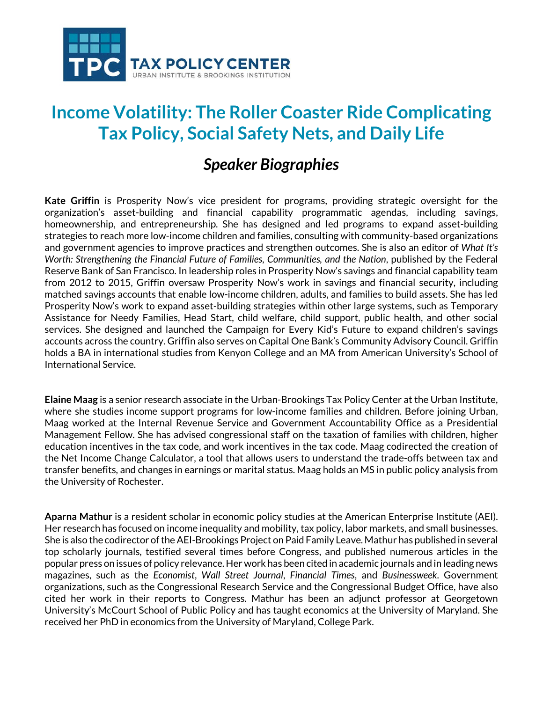

## **Income Volatility: The Roller Coaster Ride Complicating Tax Policy, Social Safety Nets, and Daily Life**

## *Speaker Biographies*

**Kate Griffin** is Prosperity Now's vice president for programs, providing strategic oversight for the organization's asset-building and financial capability programmatic agendas, including savings, homeownership, and entrepreneurship. She has designed and led programs to expand asset-building strategies to reach more low-income children and families, consulting with community-based organizations and government agencies to improve practices and strengthen outcomes. She is also an editor of *What It's Worth: Strengthening the Financial Future of Families, Communities, and the Nation*, published by the Federal Reserve Bank of San Francisco. In leadership roles in Prosperity Now's savings and financial capability team from 2012 to 2015, Griffin oversaw Prosperity Now's work in savings and financial security, including matched savings accounts that enable low-income children, adults, and families to build assets. She has led Prosperity Now's work to expand asset-building strategies within other large systems, such as Temporary Assistance for Needy Families, Head Start, child welfare, child support, public health, and other social services. She designed and launched the Campaign for Every Kid's Future to expand children's savings accounts across the country. Griffin also serves on Capital One Bank's Community Advisory Council. Griffin holds a BA in international studies from Kenyon College and an MA from American University's School of International Service.

**Elaine Maag** is a senior research associate in the Urban-Brookings Tax Policy Center at the Urban Institute, where she studies income support programs for low-income families and children. Before joining Urban, Maag worked at the Internal Revenue Service and Government Accountability Office as a Presidential Management Fellow. She has advised congressional staff on the taxation of families with children, higher education incentives in the tax code, and work incentives in the tax code. Maag codirected the creation of the Net Income Change Calculator, a tool that allows users to understand the trade-offs between tax and transfer benefits, and changes in earnings or marital status. Maag holds an MS in public policy analysis from the University of Rochester.

**Aparna Mathur** is a resident scholar in economic policy studies at the American Enterprise Institute (AEI). Her research has focused on income inequality and mobility, tax policy, labor markets, and small businesses. She is also the codirector of the AEI-Brookings Project on Paid Family Leave. Mathur has published in several top scholarly journals, testified several times before Congress, and published numerous articles in the popular press on issues of policy relevance. Her work has been cited in academic journals and in leading news magazines, such as the *Economist*, *Wall Street Journal*, *Financial Times*, and *Businessweek*. Government organizations, such as the Congressional Research Service and the Congressional Budget Office, have also cited her work in their reports to Congress. Mathur has been an adjunct professor at Georgetown University's McCourt School of Public Policy and has taught economics at the University of Maryland. She received her PhD in economics from the University of Maryland, College Park.